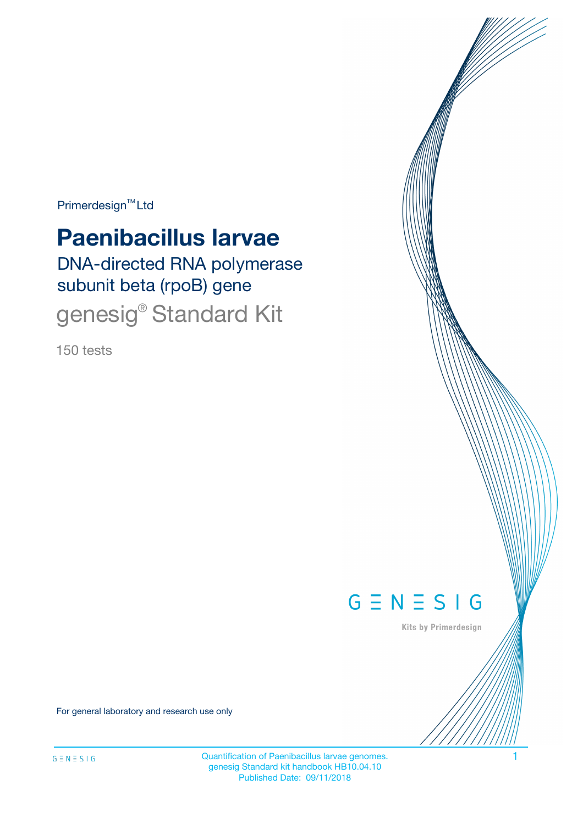Primerdesign<sup>™</sup>Ltd

# **Paenibacillus larvae**

DNA-directed RNA polymerase subunit beta (rpoB) gene genesig® Standard Kit

150 tests



Kits by Primerdesign

For general laboratory and research use only

Quantification of Paenibacillus larvae genomes. 1 genesig Standard kit handbook HB10.04.10 Published Date: 09/11/2018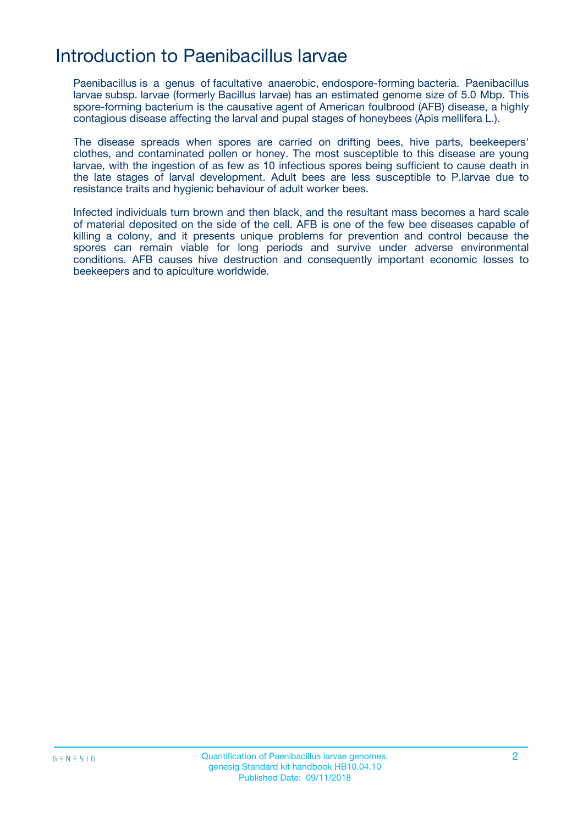## Introduction to Paenibacillus larvae

Paenibacillus is a genus of facultative anaerobic, endospore-forming bacteria. Paenibacillus larvae subsp. larvae (formerly Bacillus larvae) has an estimated genome size of 5.0 Mbp. This spore-forming bacterium is the causative agent of American foulbrood (AFB) disease, a highly contagious disease affecting the larval and pupal stages of honeybees (Apis mellifera L.).

The disease spreads when spores are carried on drifting bees, hive parts, beekeepers' clothes, and contaminated pollen or honey. The most susceptible to this disease are young larvae, with the ingestion of as few as 10 infectious spores being sufficient to cause death in the late stages of larval development. Adult bees are less susceptible to P.larvae due to resistance traits and hygienic behaviour of adult worker bees.

Infected individuals turn brown and then black, and the resultant mass becomes a hard scale of material deposited on the side of the cell. AFB is one of the few bee diseases capable of killing a colony, and it presents unique problems for prevention and control because the spores can remain viable for long periods and survive under adverse environmental conditions. AFB causes hive destruction and consequently important economic losses to beekeepers and to apiculture worldwide.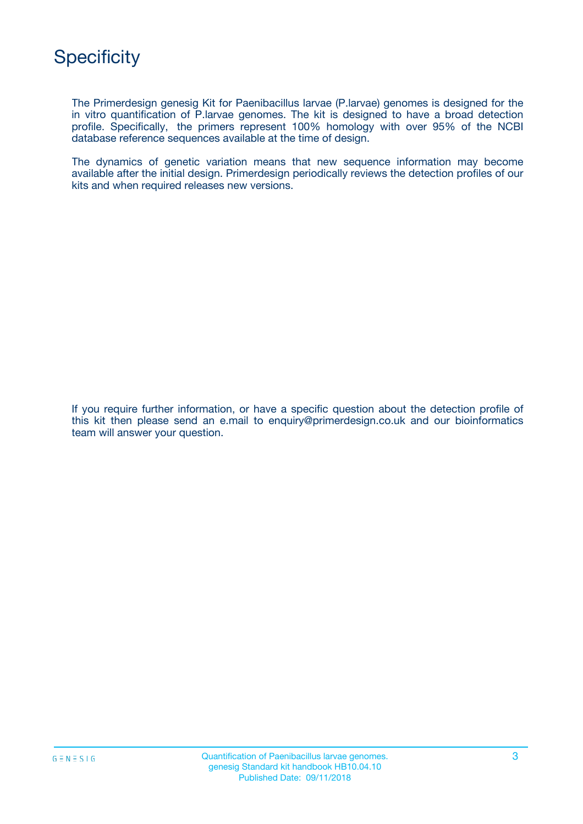

The Primerdesign genesig Kit for Paenibacillus larvae (P.larvae) genomes is designed for the in vitro quantification of P.larvae genomes. The kit is designed to have a broad detection profile. Specifically, the primers represent 100% homology with over 95% of the NCBI database reference sequences available at the time of design.

The dynamics of genetic variation means that new sequence information may become available after the initial design. Primerdesign periodically reviews the detection profiles of our kits and when required releases new versions.

If you require further information, or have a specific question about the detection profile of this kit then please send an e.mail to enquiry@primerdesign.co.uk and our bioinformatics team will answer your question.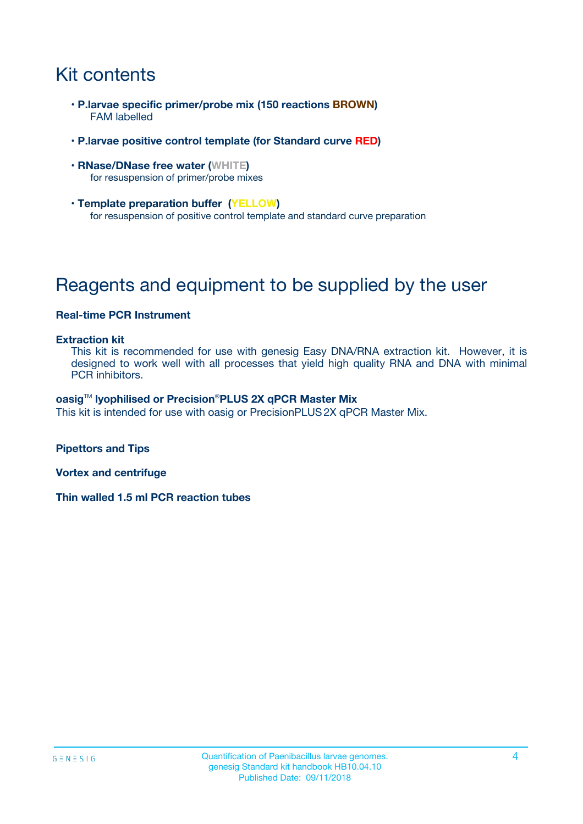## Kit contents

- **P.larvae specific primer/probe mix (150 reactions BROWN)** FAM labelled
- **P.larvae positive control template (for Standard curve RED)**
- **RNase/DNase free water (WHITE)** for resuspension of primer/probe mixes
- **Template preparation buffer (YELLOW)** for resuspension of positive control template and standard curve preparation

## Reagents and equipment to be supplied by the user

#### **Real-time PCR Instrument**

#### **Extraction kit**

This kit is recommended for use with genesig Easy DNA/RNA extraction kit. However, it is designed to work well with all processes that yield high quality RNA and DNA with minimal PCR inhibitors.

#### **oasig**TM **lyophilised or Precision**®**PLUS 2X qPCR Master Mix**

This kit is intended for use with oasig or PrecisionPLUS2X qPCR Master Mix.

**Pipettors and Tips**

**Vortex and centrifuge**

**Thin walled 1.5 ml PCR reaction tubes**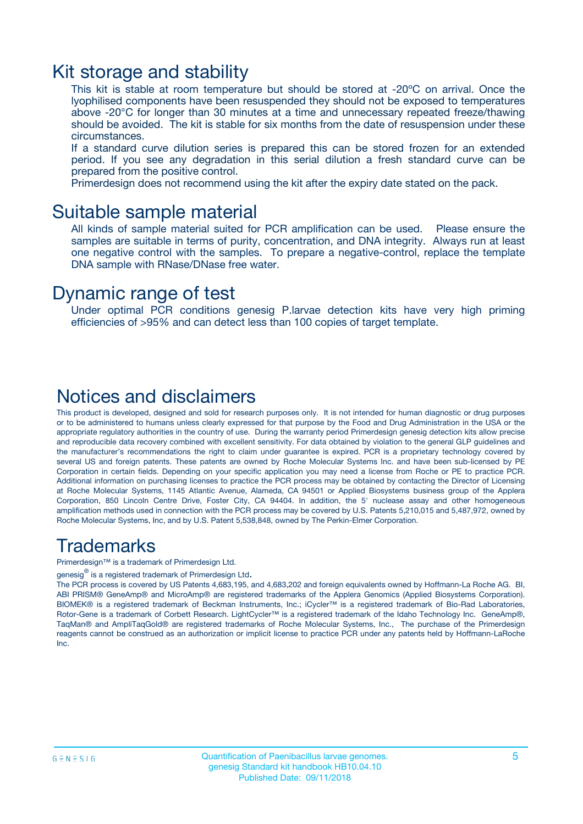### Kit storage and stability

This kit is stable at room temperature but should be stored at -20ºC on arrival. Once the lyophilised components have been resuspended they should not be exposed to temperatures above -20°C for longer than 30 minutes at a time and unnecessary repeated freeze/thawing should be avoided. The kit is stable for six months from the date of resuspension under these circumstances.

If a standard curve dilution series is prepared this can be stored frozen for an extended period. If you see any degradation in this serial dilution a fresh standard curve can be prepared from the positive control.

Primerdesign does not recommend using the kit after the expiry date stated on the pack.

### Suitable sample material

All kinds of sample material suited for PCR amplification can be used. Please ensure the samples are suitable in terms of purity, concentration, and DNA integrity. Always run at least one negative control with the samples. To prepare a negative-control, replace the template DNA sample with RNase/DNase free water.

### Dynamic range of test

Under optimal PCR conditions genesig P.larvae detection kits have very high priming efficiencies of >95% and can detect less than 100 copies of target template.

### Notices and disclaimers

This product is developed, designed and sold for research purposes only. It is not intended for human diagnostic or drug purposes or to be administered to humans unless clearly expressed for that purpose by the Food and Drug Administration in the USA or the appropriate regulatory authorities in the country of use. During the warranty period Primerdesign genesig detection kits allow precise and reproducible data recovery combined with excellent sensitivity. For data obtained by violation to the general GLP guidelines and the manufacturer's recommendations the right to claim under guarantee is expired. PCR is a proprietary technology covered by several US and foreign patents. These patents are owned by Roche Molecular Systems Inc. and have been sub-licensed by PE Corporation in certain fields. Depending on your specific application you may need a license from Roche or PE to practice PCR. Additional information on purchasing licenses to practice the PCR process may be obtained by contacting the Director of Licensing at Roche Molecular Systems, 1145 Atlantic Avenue, Alameda, CA 94501 or Applied Biosystems business group of the Applera Corporation, 850 Lincoln Centre Drive, Foster City, CA 94404. In addition, the 5' nuclease assay and other homogeneous amplification methods used in connection with the PCR process may be covered by U.S. Patents 5,210,015 and 5,487,972, owned by Roche Molecular Systems, Inc, and by U.S. Patent 5,538,848, owned by The Perkin-Elmer Corporation.

### Trademarks

Primerdesign™ is a trademark of Primerdesign Ltd.

genesig $^\circledR$  is a registered trademark of Primerdesign Ltd.

The PCR process is covered by US Patents 4,683,195, and 4,683,202 and foreign equivalents owned by Hoffmann-La Roche AG. BI, ABI PRISM® GeneAmp® and MicroAmp® are registered trademarks of the Applera Genomics (Applied Biosystems Corporation). BIOMEK® is a registered trademark of Beckman Instruments, Inc.; iCycler™ is a registered trademark of Bio-Rad Laboratories, Rotor-Gene is a trademark of Corbett Research. LightCycler™ is a registered trademark of the Idaho Technology Inc. GeneAmp®, TaqMan® and AmpliTaqGold® are registered trademarks of Roche Molecular Systems, Inc., The purchase of the Primerdesign reagents cannot be construed as an authorization or implicit license to practice PCR under any patents held by Hoffmann-LaRoche Inc.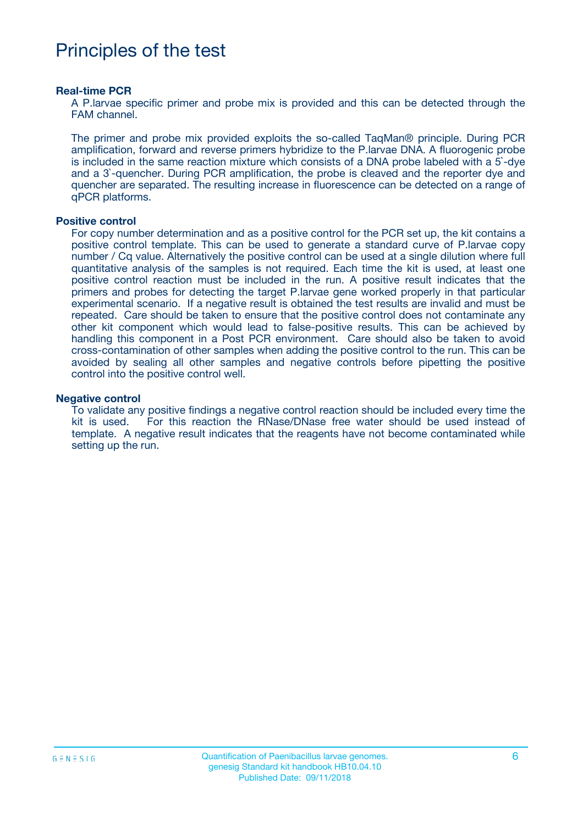## Principles of the test

#### **Real-time PCR**

A P.larvae specific primer and probe mix is provided and this can be detected through the FAM channel.

The primer and probe mix provided exploits the so-called TaqMan® principle. During PCR amplification, forward and reverse primers hybridize to the P.larvae DNA. A fluorogenic probe is included in the same reaction mixture which consists of a DNA probe labeled with a 5`-dye and a 3`-quencher. During PCR amplification, the probe is cleaved and the reporter dye and quencher are separated. The resulting increase in fluorescence can be detected on a range of qPCR platforms.

#### **Positive control**

For copy number determination and as a positive control for the PCR set up, the kit contains a positive control template. This can be used to generate a standard curve of P.larvae copy number / Cq value. Alternatively the positive control can be used at a single dilution where full quantitative analysis of the samples is not required. Each time the kit is used, at least one positive control reaction must be included in the run. A positive result indicates that the primers and probes for detecting the target P.larvae gene worked properly in that particular experimental scenario. If a negative result is obtained the test results are invalid and must be repeated. Care should be taken to ensure that the positive control does not contaminate any other kit component which would lead to false-positive results. This can be achieved by handling this component in a Post PCR environment. Care should also be taken to avoid cross-contamination of other samples when adding the positive control to the run. This can be avoided by sealing all other samples and negative controls before pipetting the positive control into the positive control well.

#### **Negative control**

To validate any positive findings a negative control reaction should be included every time the kit is used. For this reaction the RNase/DNase free water should be used instead of template. A negative result indicates that the reagents have not become contaminated while setting up the run.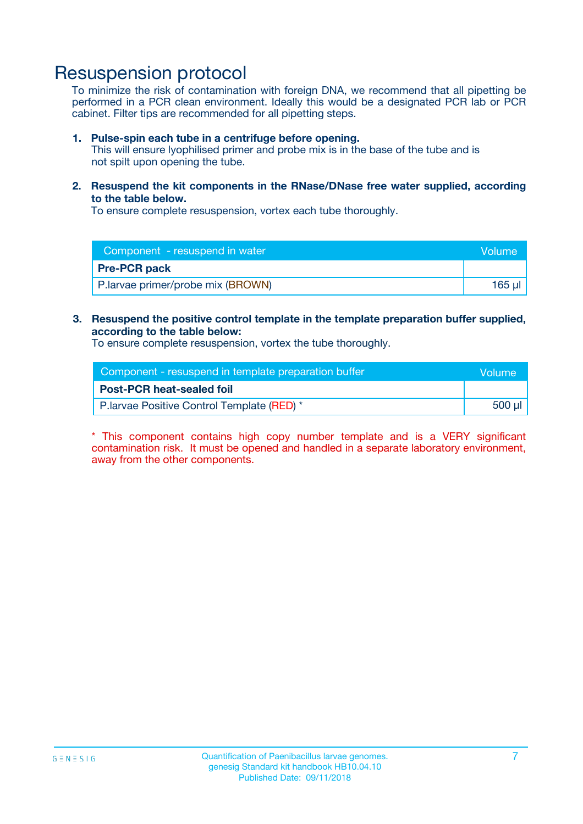### Resuspension protocol

To minimize the risk of contamination with foreign DNA, we recommend that all pipetting be performed in a PCR clean environment. Ideally this would be a designated PCR lab or PCR cabinet. Filter tips are recommended for all pipetting steps.

#### **1. Pulse-spin each tube in a centrifuge before opening.**

This will ensure lyophilised primer and probe mix is in the base of the tube and is not spilt upon opening the tube.

**2. Resuspend the kit components in the RNase/DNase free water supplied, according to the table below.**

To ensure complete resuspension, vortex each tube thoroughly.

| Component - resuspend in water    | Volume    |
|-----------------------------------|-----------|
| <b>Pre-PCR pack</b>               |           |
| P.larvae primer/probe mix (BROWN) | $165 \mu$ |

### **3. Resuspend the positive control template in the template preparation buffer supplied, according to the table below:**

To ensure complete resuspension, vortex the tube thoroughly.

| Component - resuspend in template preparation buffer |        |  |
|------------------------------------------------------|--------|--|
| <b>Post-PCR heat-sealed foil</b>                     |        |  |
| P. larvae Positive Control Template (RED) *          | 500 µl |  |

\* This component contains high copy number template and is a VERY significant contamination risk. It must be opened and handled in a separate laboratory environment, away from the other components.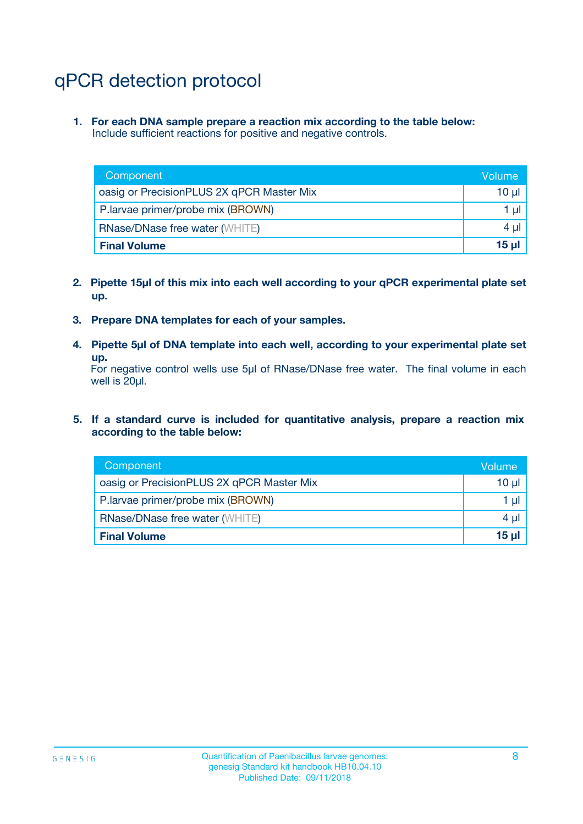## qPCR detection protocol

**1. For each DNA sample prepare a reaction mix according to the table below:** Include sufficient reactions for positive and negative controls.

| Component                                 | Volume   |
|-------------------------------------------|----------|
| oasig or PrecisionPLUS 2X qPCR Master Mix | 10 $\mu$ |
| P.larvae primer/probe mix (BROWN)         | 1 $\mu$  |
| <b>RNase/DNase free water (WHITE)</b>     | $4 \mu$  |
| <b>Final Volume</b>                       | $15 \mu$ |

- **2. Pipette 15µl of this mix into each well according to your qPCR experimental plate set up.**
- **3. Prepare DNA templates for each of your samples.**
- **4. Pipette 5µl of DNA template into each well, according to your experimental plate set up.**

For negative control wells use 5µl of RNase/DNase free water. The final volume in each well is 20µl.

**5. If a standard curve is included for quantitative analysis, prepare a reaction mix according to the table below:**

| Component                                 | Volume  |
|-------------------------------------------|---------|
| oasig or PrecisionPLUS 2X qPCR Master Mix | 10 µl   |
| P.larvae primer/probe mix (BROWN)         | 1 µI    |
| <b>RNase/DNase free water (WHITE)</b>     | $4 \mu$ |
| <b>Final Volume</b>                       | 15 µl   |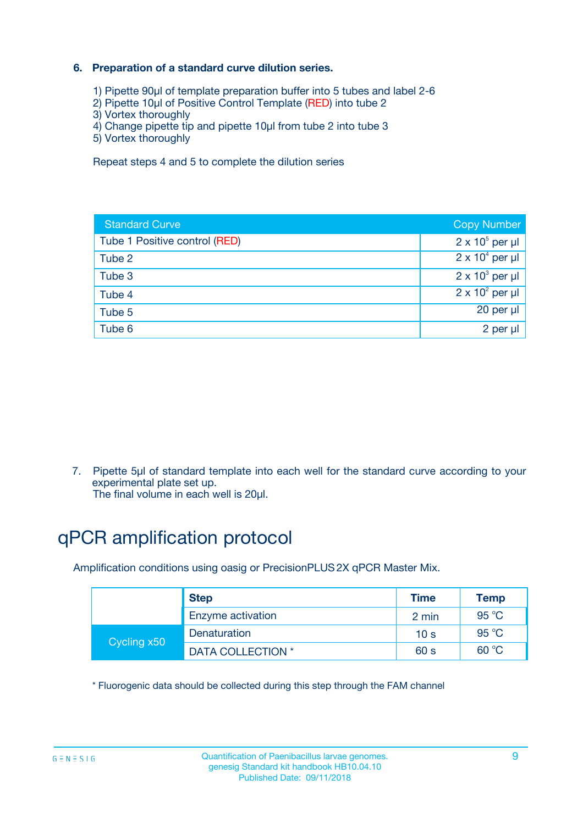### **6. Preparation of a standard curve dilution series.**

- 1) Pipette 90µl of template preparation buffer into 5 tubes and label 2-6
- 2) Pipette 10µl of Positive Control Template (RED) into tube 2
- 3) Vortex thoroughly
- 4) Change pipette tip and pipette 10µl from tube 2 into tube 3
- 5) Vortex thoroughly

Repeat steps 4 and 5 to complete the dilution series

| <b>Standard Curve</b>         | <b>Copy Number</b>     |
|-------------------------------|------------------------|
| Tube 1 Positive control (RED) | $2 \times 10^5$ per µl |
| Tube 2                        | $2 \times 10^4$ per µl |
| Tube 3                        | $2 \times 10^3$ per µl |
| Tube 4                        | $2 \times 10^2$ per µl |
| Tube 5                        | 20 per µl              |
| Tube 6                        | 2 per ul               |

7. Pipette 5µl of standard template into each well for the standard curve according to your experimental plate set up.

The final volume in each well is 20µl.

## qPCR amplification protocol

Amplification conditions using oasig or PrecisionPLUS2X qPCR Master Mix.

|             | <b>Step</b>       | <b>Time</b>     | Temp           |
|-------------|-------------------|-----------------|----------------|
|             | Enzyme activation | 2 min           | $95^{\circ}$ C |
| Cycling x50 | Denaturation      | 10 <sub>s</sub> | 95 $°C$        |
|             | DATA COLLECTION * | 60 s            | 60 °C          |

\* Fluorogenic data should be collected during this step through the FAM channel